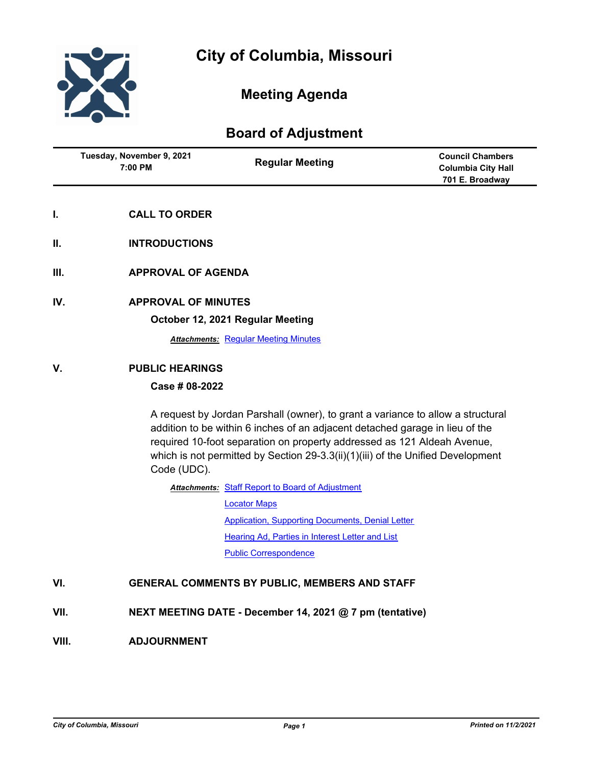

# **Meeting Agenda**

# **Board of Adjustment**

| Tuesday, November 9, 2021<br>$7:00$ PM | <b>Regular Meeting</b> | <b>Council Chambers</b><br><b>Columbia City Hall</b><br>701 E. Broadway |
|----------------------------------------|------------------------|-------------------------------------------------------------------------|
|                                        |                        |                                                                         |

- **I. CALL TO ORDER**
- **II. INTRODUCTIONS**
- **III. APPROVAL OF AGENDA**
- **IV. APPROVAL OF MINUTES**

#### **October 12, 2021 Regular Meeting**

**Attachments: [Regular Meeting Minutes](https://gocolumbiamo.legistar.com/gateway.aspx?M=F&ID=7ebbef67-1413-492b-98c6-1932acbc5080.docx)** 

## **V. PUBLIC HEARINGS**

## **Case # 08-2022**

A request by Jordan Parshall (owner), to grant a variance to allow a structural addition to be within 6 inches of an adjacent detached garage in lieu of the required 10-foot separation on property addressed as 121 Aldeah Avenue, which is not permitted by Section 29-3.3(ii)(1)(iii) of the Unified Development Code (UDC).

**Attachments: [Staff Report to Board of Adjustment](https://gocolumbiamo.legistar.com/gateway.aspx?M=F&ID=fb7be26e-bcee-4c87-8b35-f68eeee87926.docx)** 

[Locator Maps](https://gocolumbiamo.legistar.com/gateway.aspx?M=F&ID=9fb7ed10-6bb7-484a-89a2-1dfbeb905652.pdf) [Application, Supporting Documents, Denial Letter](https://gocolumbiamo.legistar.com/gateway.aspx?M=F&ID=8ed29a10-00b1-4241-a591-10aefe483b9c.pdf) [Hearing Ad, Parties in Interest Letter and List](https://gocolumbiamo.legistar.com/gateway.aspx?M=F&ID=2e4d4460-b424-4820-b600-de047ce91e4e.pdf) [Public Correspondence](https://gocolumbiamo.legistar.com/gateway.aspx?M=F&ID=e498c804-4942-4bff-ac14-22481719b35d.pdf)

#### **VI. GENERAL COMMENTS BY PUBLIC, MEMBERS AND STAFF**

- **VII. NEXT MEETING DATE December 14, 2021 @ 7 pm (tentative)**
- **VIII. ADJOURNMENT**